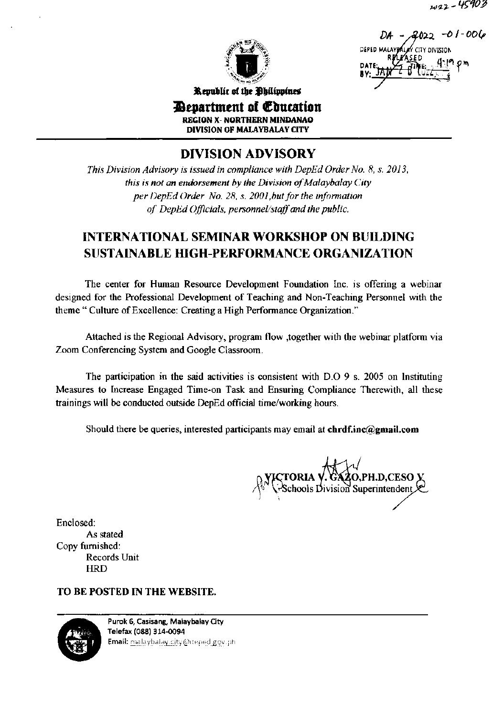w22-45403



2022 -01-001 DERED M. MY CITY DIVISION

Republic of the Ohilippines

*Penartment of Education* **REGION X- NORTHERN MINDANAO DIVISION OF MALAYBALAY CITY** 

**DIVISION ADVISORY** 

This Division Advisory is issued in compliance with DepEd Order No. 8, s. 2013, this is not an endorsement by the Division of Malaybalay City per DepEd Order No. 28, s. 2001, but for the information of DepEd Officials, personnel/staff and the public.

# **INTERNATIONAL SEMINAR WORKSHOP ON BUILDING SUSTAINABLE HIGH-PERFORMANCE ORGANIZATION**

The center for Human Resource Development Foundation Inc. is offering a webinar designed for the Professional Development of Teaching and Non-Teaching Personnel with the theme "Culture of Excellence: Creating a High Performance Organization."

Attached is the Regional Advisory, program flow , together with the webinar platform via Zoom Conferencing System and Google Classroom.

The participation in the said activities is consistent with D.O 9 s. 2005 on Instituting Measures to Increase Engaged Time-on Task and Ensuring Compliance Therewith, all these trainings will be conducted outside DepEd official time/working hours.

Should there be queries, interested participants may email at chrdf,inc@gmail.com

TORIA Y. GAZO,PH.D,CESO X<br>Schools Division Superintendent

Enclosed: As stated Copy furnished: Records Unit **HRD** 

# TO BE POSTED IN THE WEBSITE.



Purok 6, Casisang, Malaybalay City Telefax (088) 314-0094 Email: malaybalay.city@deped.gov.ph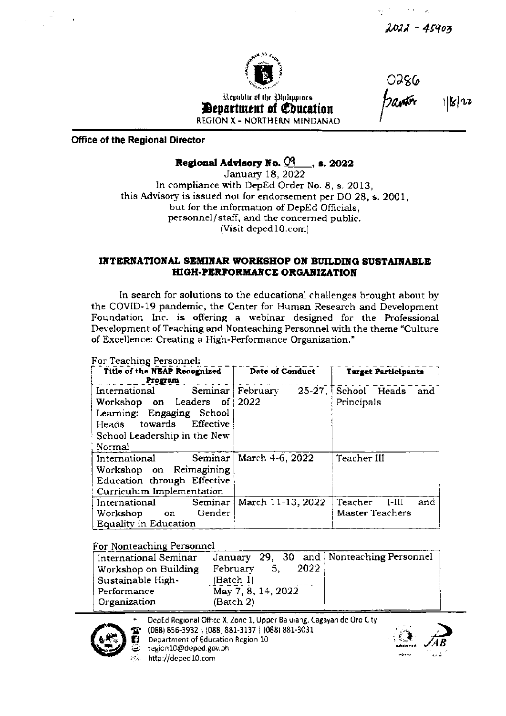$2022 - 45903$ 

 $1|k|^{12}$ 

0386



Republic of the Diplippines *Department of Coucation* **REGION X - NORTHERN MINDANAO** 

**Office of the Regional Director** 

## Regional Advisory No.  $04$ , s. 2022

**January 18, 2022** In compliance with DepEd Order No. 8, s. 2013, this Advisory is issued not for endorsement per DO 28, s. 2001, but for the information of DepEd Officials. personnel/staff, and the concerned public. (Visit deped10.com)

#### INTERNATIONAL SEMINAR WORKSHOP ON BUILDING SUSTAINABLE **HIGH-PERFORMANCE ORGANIZATION**

In search for solutions to the educational challenges brought about by the COVID-19 pandemic, the Center for Human Research and Development Foundation Inc. is offering a webinar designed for the Professional Development of Teaching and Nonteaching Personnel with the theme "Culture of Excellence: Creating a High-Performance Organization."

#### For Teaching Personnel:

| Title of the NEAP Recognized<br>Program                                                                                                                         | Date of Conduct   | <b>Target Participants</b>                  |
|-----------------------------------------------------------------------------------------------------------------------------------------------------------------|-------------------|---------------------------------------------|
| International Seminar February<br>Workshop on Leaders of 2022<br>Learning: Engaging School<br>Heads towards Effective<br>School Leadership in the New<br>Normal |                   | $25-27$ , School Heads<br>and<br>Principals |
| Seminar<br>International<br>Workshop on Reimagining<br>Education through Effective<br>Curriculum Implementation                                                 | March 4-6, 2022   | Teacher III                                 |
| International Seminar<br>Gender<br>Workshop on<br>Equality in Education                                                                                         | March 11-13, 2022 | Teacher<br>$I-HI$<br>and<br>Master Teachers |

## For Nonteaching Personnel

| International Seminar | January 29, 30 and Nonteaching Personnel |  |
|-----------------------|------------------------------------------|--|
| Workshop on Building  | 2022<br>February<br>5.                   |  |
| Sustainable High-     | (Batch 1)                                |  |
| Performance           | May 7, 8, 14, 2022                       |  |
| Organization          | (Batch 2)                                |  |
|                       |                                          |  |

DepEd Regional Office X, Zone 1, Upper Baluiang, Cagayan de Oro City



(088) 856-3932 | (088) 881-3137 | (088) 881-3031 Department of Education Region 10



region10@deped.gov.ph http://deped10.com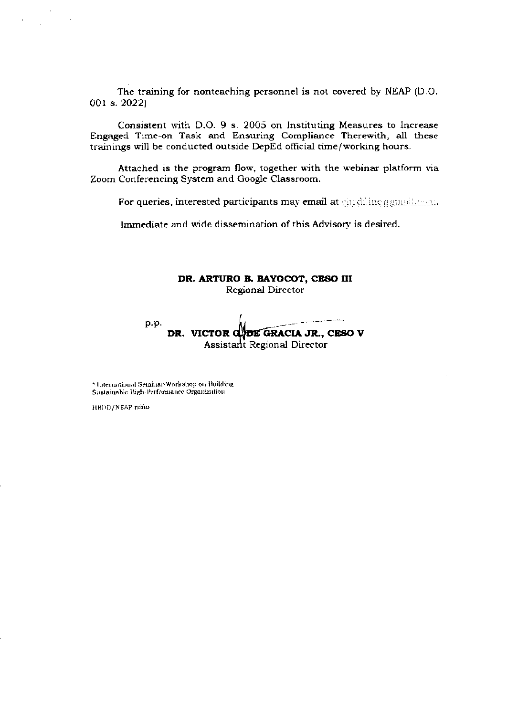The training for nonteaching personnel is not covered by NEAP (D.O 001 s. 2022)

Consistent with D.O. 9 s. 2005 on Instituting Measures to Increase Engaged Time-on Task and Ensuring Compliance Therewith, all these trainings will be conducted outside DepEd official time/working hours.

Attached is the program flow, together with the webinar platform via Zoom Conferencing System and Google Classroom.

For queries, interested participants may email at ghrdfling agmail.org.

Immediate and wide dissemination of this Advisory is desired.

### DR. ARTURO B. BAYOCOT, CESO III Regional Director

p.p DR. VICTOR CHOE GRACIA JR., CESO V Assistant Regional Director

 $^\star$ International Seminar-Workshop on Building Sustainable High-Performance Organization

HRDD/NEAP nino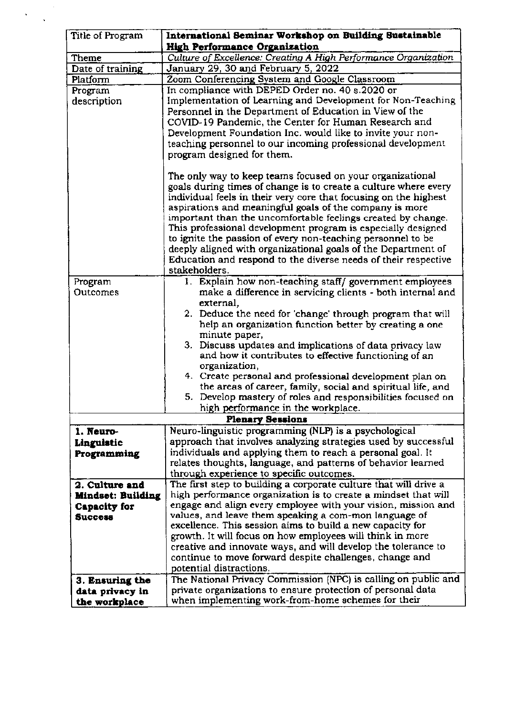| Title of Program          | International Seminar Workshop on Building Sustainable                                                                  |  |
|---------------------------|-------------------------------------------------------------------------------------------------------------------------|--|
|                           | <b>High Performance Organization</b>                                                                                    |  |
| Theme                     | Culture of Excellence: Creating A High Performance Organization                                                         |  |
| Date of training          | January 29, 30 and February 5, 2022                                                                                     |  |
| Platform                  | Zoom Conferencing System and Google Classroom                                                                           |  |
| Program                   | In compliance with DEPED Order no. 40 s.2020 or                                                                         |  |
| description               | Implementation of Learning and Development for Non-Teaching                                                             |  |
|                           | Personnel in the Department of Education in View of the                                                                 |  |
|                           | COVID-19 Pandemic, the Center for Human Research and                                                                    |  |
|                           | Development Foundation Inc. would like to invite your non-                                                              |  |
|                           | teaching personnel to our incoming professional development                                                             |  |
|                           | program designed for them.                                                                                              |  |
|                           | The only way to keep teams focused on your organizational                                                               |  |
|                           | goals during times of change is to create a culture where every                                                         |  |
|                           | individual feels in their very core that focusing on the highest                                                        |  |
|                           | aspirations and meaningful goals of the company is more                                                                 |  |
|                           | important than the uncomfortable feelings created by change.                                                            |  |
|                           | This professional development program is especially designed                                                            |  |
|                           | to ignite the passion of every non-teaching personnel to be                                                             |  |
|                           | deeply aligned with organizational goals of the Department of                                                           |  |
|                           | Education and respond to the diverse needs of their respective                                                          |  |
|                           | stakeholders.                                                                                                           |  |
| Program                   | 1. Explain how non-teaching staff/government employees                                                                  |  |
| Outcomes                  | make a difference in servicing clients - both internal and                                                              |  |
|                           | external,                                                                                                               |  |
|                           | 2. Deduce the need for 'change' through program that will<br>help an organization function better by creating a one     |  |
|                           | minute paper,                                                                                                           |  |
|                           | 3. Discuss updates and implications of data privacy law                                                                 |  |
|                           | and how it contributes to effective functioning of an                                                                   |  |
|                           | organization,                                                                                                           |  |
|                           | 4. Create personal and professional development plan on                                                                 |  |
|                           | the areas of career, family, social and spiritual life, and                                                             |  |
|                           | 5. Develop mastery of roles and responsibilities focused on                                                             |  |
|                           | high performance in the workplace.                                                                                      |  |
| <b>Plenary Sessions</b>   |                                                                                                                         |  |
| 1. Neuro-                 | Neuro-linguistic programming (NLP) is a psychological<br>approach that involves analyzing strategies used by successful |  |
| Linguistic<br>Programming | individuals and applying them to reach a personal goal. It                                                              |  |
|                           | relates thoughts, language, and patterns of behavior learned                                                            |  |
|                           | through experience to specific outcomes.                                                                                |  |
| 2. Culture and            | The first step to building a corporate culture that will drive a                                                        |  |
| <b>Mindset: Building</b>  | high performance organization is to create a mindset that will                                                          |  |
| <b>Capacity for</b>       | engage and align every employee with your vision, mission and                                                           |  |
| <b>Success</b>            | values, and leave them speaking a com-mon language of                                                                   |  |
|                           | excellence. This session aims to build a new capacity for                                                               |  |
|                           | growth. It will focus on how employees will think in more                                                               |  |
|                           | creative and innovate ways, and will develop the tolerance to                                                           |  |
|                           | continue to move forward despite challenges, change and                                                                 |  |
|                           | potential distractions.                                                                                                 |  |
| 3. Ensuring the           | The National Privacy Commission (NPC) is calling on public and                                                          |  |
| data privacy in           | private organizations to ensure protection of personal data                                                             |  |
| the workplace             | when implementing work-from-home schemes for their                                                                      |  |

 $\ddot{\phantom{0}}$